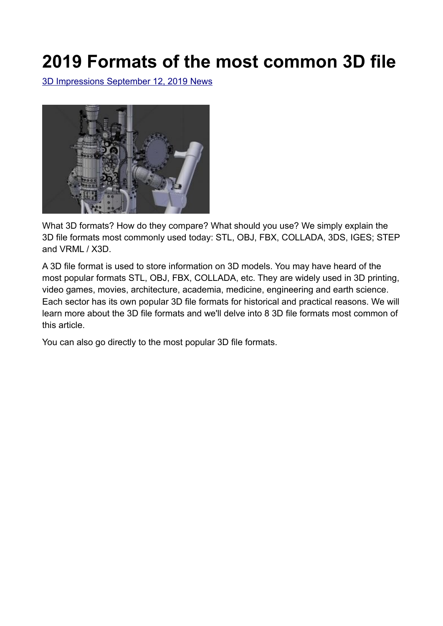# **2019 Formats of the most common 3D file**

 [3D Impressions](https://www.lesimpressions3d.com/author/mica59290/) [September 12, 2019](https://www.lesimpressions3d.com/2019-most-common-3d-file-formats/) [News](https://www.lesimpressions3d.com/category/actualites/)



What 3D formats? How do they compare? What should you use? We simply explain the 3D file formats most commonly used today: STL, OBJ, FBX, COLLADA, 3DS, IGES; STEP and VRML / X3D.

A 3D file format is used to store information on 3D models. You may have heard of the most popular formats STL, OBJ, FBX, COLLADA, etc. They are widely used in 3D printing, video games, movies, architecture, academia, medicine, engineering and earth science. Each sector has its own popular 3D file formats for historical and practical reasons. We will learn more about the 3D file formats and we'll delve into 8 3D file formats most common of this article.

You can also go directly to the most popular 3D file formats.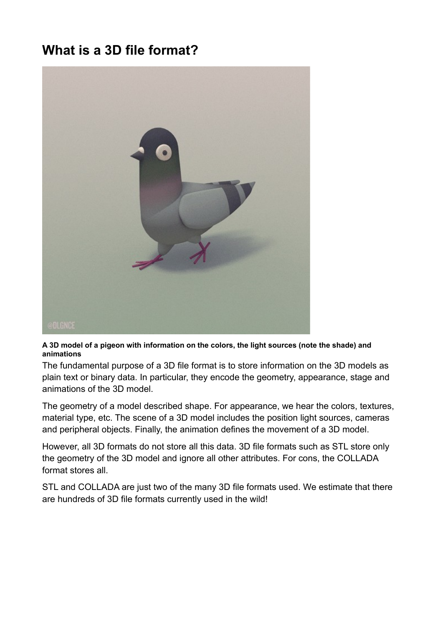# **What is a 3D file format?**



#### **A 3D model of a pigeon with information on the colors, the light sources (note the shade) and animations**

The fundamental purpose of a 3D file format is to store information on the 3D models as plain text or binary data. In particular, they encode the geometry, appearance, stage and animations of the 3D model.

The geometry of a model described shape. For appearance, we hear the colors, textures, material type, etc. The scene of a 3D model includes the position light sources, cameras and peripheral objects. Finally, the animation defines the movement of a 3D model.

However, all 3D formats do not store all this data. 3D file formats such as STL store only the geometry of the 3D model and ignore all other attributes. For cons, the COLLADA format stores all.

STL and COLLADA are just two of the many 3D file formats used. We estimate that there are hundreds of 3D file formats currently used in the wild!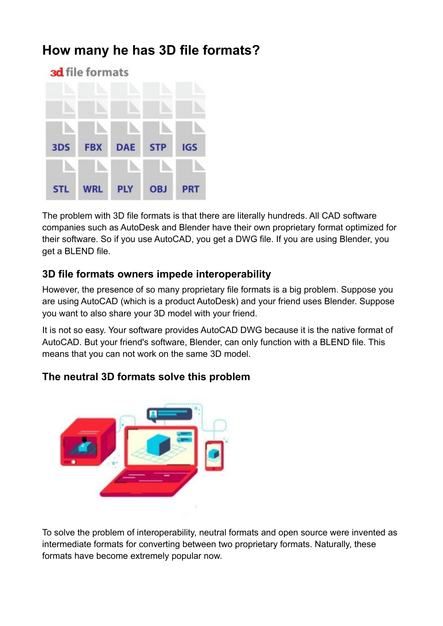# **How many he has 3D file formats?**



The problem with 3D file formats is that there are literally hundreds. All CAD software companies such as AutoDesk and Blender have their own proprietary format optimized for their software. So if you use AutoCAD, you get a DWG file. If you are using Blender, you get a BLEND file.

### **3D file formats owners impede interoperability**

However, the presence of so many proprietary file formats is a big problem. Suppose you are using AutoCAD (which is a product AutoDesk) and your friend uses Blender. Suppose you want to also share your 3D model with your friend.

It is not so easy. Your software provides AutoCAD DWG because it is the native format of AutoCAD. But your friend's software, Blender, can only function with a BLEND file. This means that you can not work on the same 3D model.

### **The neutral 3D formats solve this problem**

To solve the problem of interoperability, neutral formats and open source were invented as intermediate formats for converting between two proprietary formats. Naturally, these formats have become extremely popular now.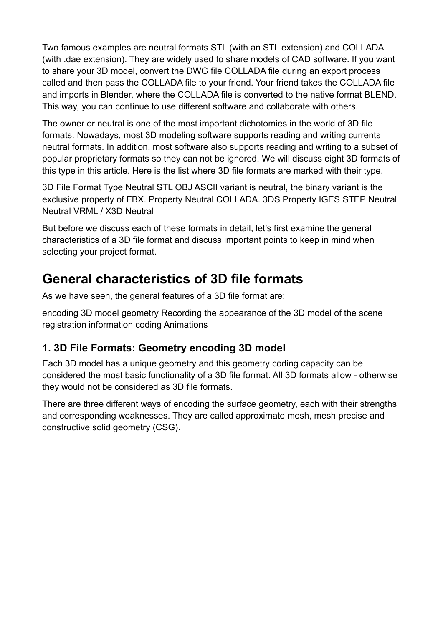Two famous examples are neutral formats STL (with an STL extension) and COLLADA (with .dae extension). They are widely used to share models of CAD software. If you want to share your 3D model, convert the DWG file COLLADA file during an export process called and then pass the COLLADA file to your friend. Your friend takes the COLLADA file and imports in Blender, where the COLLADA file is converted to the native format BLEND. This way, you can continue to use different software and collaborate with others.

The owner or neutral is one of the most important dichotomies in the world of 3D file formats. Nowadays, most 3D modeling software supports reading and writing currents neutral formats. In addition, most software also supports reading and writing to a subset of popular proprietary formats so they can not be ignored. We will discuss eight 3D formats of this type in this article. Here is the list where 3D file formats are marked with their type.

3D File Format Type Neutral STL OBJ ASCII variant is neutral, the binary variant is the exclusive property of FBX. Property Neutral COLLADA. 3DS Property IGES STEP Neutral Neutral VRML / X3D Neutral

But before we discuss each of these formats in detail, let's first examine the general characteristics of a 3D file format and discuss important points to keep in mind when selecting your project format.

# **General characteristics of 3D file formats**

As we have seen, the general features of a 3D file format are:

encoding 3D model geometry Recording the appearance of the 3D model of the scene registration information coding Animations

# **1. 3D File Formats: Geometry encoding 3D model**

Each 3D model has a unique geometry and this geometry coding capacity can be considered the most basic functionality of a 3D file format. All 3D formats allow - otherwise they would not be considered as 3D file formats.

There are three different ways of encoding the surface geometry, each with their strengths and corresponding weaknesses. They are called approximate mesh, mesh precise and constructive solid geometry (CSG).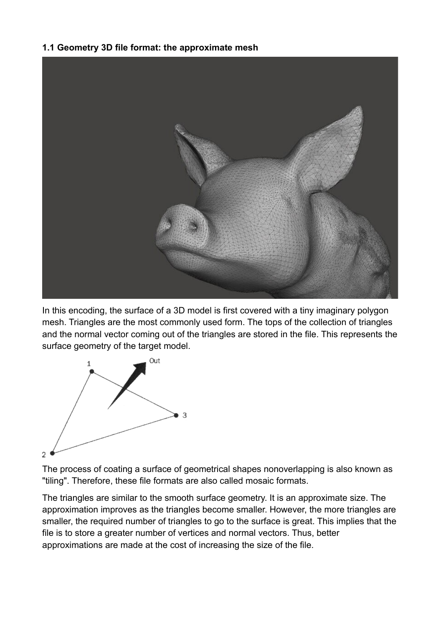#### **1.1 Geometry 3D file format: the approximate mesh**



In this encoding, the surface of a 3D model is first covered with a tiny imaginary polygon mesh. Triangles are the most commonly used form. The tops of the collection of triangles and the normal vector coming out of the triangles are stored in the file. This represents the surface geometry of the target model.



The process of coating a surface of geometrical shapes nonoverlapping is also known as "tiling". Therefore, these file formats are also called mosaic formats.

The triangles are similar to the smooth surface geometry. It is an approximate size. The approximation improves as the triangles become smaller. However, the more triangles are smaller, the required number of triangles to go to the surface is great. This implies that the file is to store a greater number of vertices and normal vectors. Thus, better approximations are made at the cost of increasing the size of the file.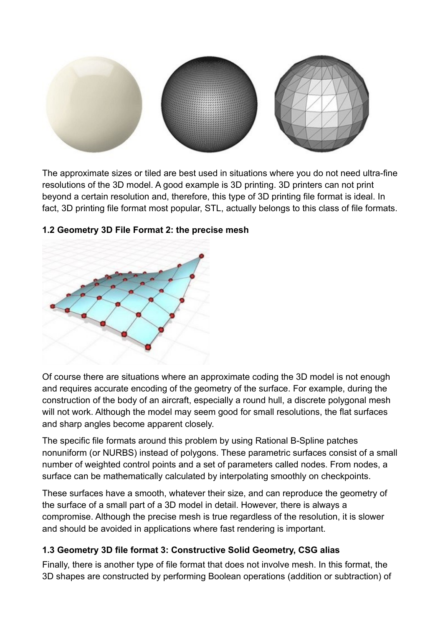

The approximate sizes or tiled are best used in situations where you do not need ultra-fine resolutions of the 3D model. A good example is 3D printing. 3D printers can not print beyond a certain resolution and, therefore, this type of 3D printing file format is ideal. In fact, 3D printing file format most popular, STL, actually belongs to this class of file formats.



#### **1.2 Geometry 3D File Format 2: the precise mesh**

Of course there are situations where an approximate coding the 3D model is not enough and requires accurate encoding of the geometry of the surface. For example, during the construction of the body of an aircraft, especially a round hull, a discrete polygonal mesh will not work. Although the model may seem good for small resolutions, the flat surfaces and sharp angles become apparent closely.

The specific file formats around this problem by using Rational B-Spline patches nonuniform (or NURBS) instead of polygons. These parametric surfaces consist of a small number of weighted control points and a set of parameters called nodes. From nodes, a surface can be mathematically calculated by interpolating smoothly on checkpoints.

These surfaces have a smooth, whatever their size, and can reproduce the geometry of the surface of a small part of a 3D model in detail. However, there is always a compromise. Although the precise mesh is true regardless of the resolution, it is slower and should be avoided in applications where fast rendering is important.

#### **1.3 Geometry 3D file format 3: Constructive Solid Geometry, CSG alias**

Finally, there is another type of file format that does not involve mesh. In this format, the 3D shapes are constructed by performing Boolean operations (addition or subtraction) of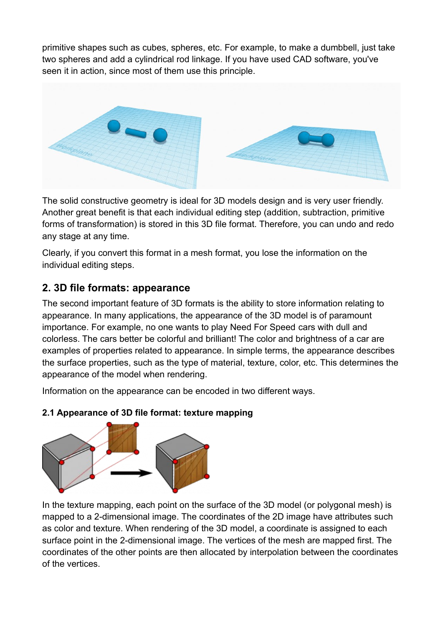primitive shapes such as cubes, spheres, etc. For example, to make a dumbbell, just take two spheres and add a cylindrical rod linkage. If you have used CAD software, you've seen it in action, since most of them use this principle.



The solid constructive geometry is ideal for 3D models design and is very user friendly. Another great benefit is that each individual editing step (addition, subtraction, primitive forms of transformation) is stored in this 3D file format. Therefore, you can undo and redo any stage at any time.

Clearly, if you convert this format in a mesh format, you lose the information on the individual editing steps.

### **2. 3D file formats: appearance**

The second important feature of 3D formats is the ability to store information relating to appearance. In many applications, the appearance of the 3D model is of paramount importance. For example, no one wants to play Need For Speed cars with dull and colorless. The cars better be colorful and brilliant! The color and brightness of a car are examples of properties related to appearance. In simple terms, the appearance describes the surface properties, such as the type of material, texture, color, etc. This determines the appearance of the model when rendering.

Information on the appearance can be encoded in two different ways.

#### **2.1 Appearance of 3D file format: texture mapping**



In the texture mapping, each point on the surface of the 3D model (or polygonal mesh) is mapped to a 2-dimensional image. The coordinates of the 2D image have attributes such as color and texture. When rendering of the 3D model, a coordinate is assigned to each surface point in the 2-dimensional image. The vertices of the mesh are mapped first. The coordinates of the other points are then allocated by interpolation between the coordinates of the vertices.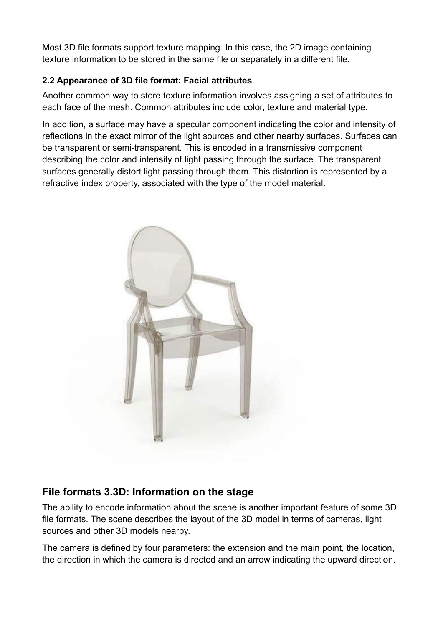Most 3D file formats support texture mapping. In this case, the 2D image containing texture information to be stored in the same file or separately in a different file.

### **2.2 Appearance of 3D file format: Facial attributes**

Another common way to store texture information involves assigning a set of attributes to each face of the mesh. Common attributes include color, texture and material type.

In addition, a surface may have a specular component indicating the color and intensity of reflections in the exact mirror of the light sources and other nearby surfaces. Surfaces can be transparent or semi-transparent. This is encoded in a transmissive component describing the color and intensity of light passing through the surface. The transparent surfaces generally distort light passing through them. This distortion is represented by a refractive index property, associated with the type of the model material.



# **File formats 3.3D: Information on the stage**

The ability to encode information about the scene is another important feature of some 3D file formats. The scene describes the layout of the 3D model in terms of cameras, light sources and other 3D models nearby.

The camera is defined by four parameters: the extension and the main point, the location, the direction in which the camera is directed and an arrow indicating the upward direction.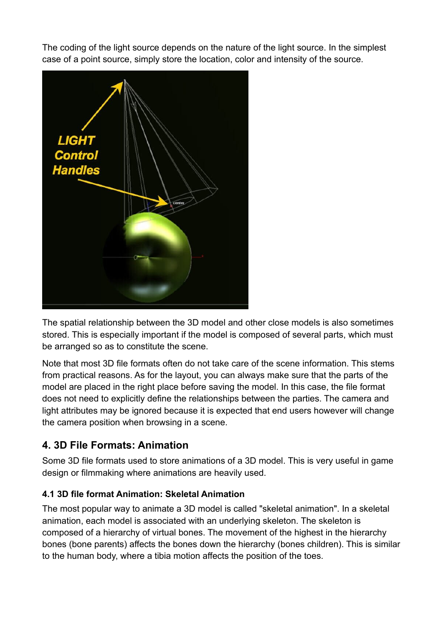The coding of the light source depends on the nature of the light source. In the simplest case of a point source, simply store the location, color and intensity of the source.



The spatial relationship between the 3D model and other close models is also sometimes stored. This is especially important if the model is composed of several parts, which must be arranged so as to constitute the scene.

Note that most 3D file formats often do not take care of the scene information. This stems from practical reasons. As for the layout, you can always make sure that the parts of the model are placed in the right place before saving the model. In this case, the file format does not need to explicitly define the relationships between the parties. The camera and light attributes may be ignored because it is expected that end users however will change the camera position when browsing in a scene.

### **4. 3D File Formats: Animation**

Some 3D file formats used to store animations of a 3D model. This is very useful in game design or filmmaking where animations are heavily used.

#### **4.1 3D file format Animation: Skeletal Animation**

The most popular way to animate a 3D model is called "skeletal animation". In a skeletal animation, each model is associated with an underlying skeleton. The skeleton is composed of a hierarchy of virtual bones. The movement of the highest in the hierarchy bones (bone parents) affects the bones down the hierarchy (bones children). This is similar to the human body, where a tibia motion affects the position of the toes.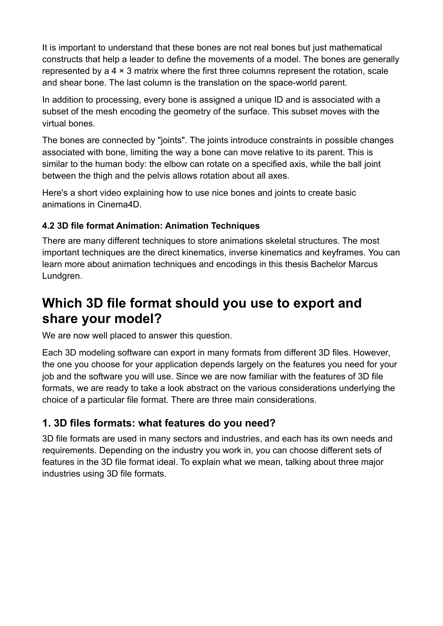It is important to understand that these bones are not real bones but just mathematical constructs that help a leader to define the movements of a model. The bones are generally represented by a 4 × 3 matrix where the first three columns represent the rotation, scale and shear bone. The last column is the translation on the space-world parent.

In addition to processing, every bone is assigned a unique ID and is associated with a subset of the mesh encoding the geometry of the surface. This subset moves with the virtual bones.

The bones are connected by "joints". The joints introduce constraints in possible changes associated with bone, limiting the way a bone can move relative to its parent. This is similar to the human body: the elbow can rotate on a specified axis, while the ball joint between the thigh and the pelvis allows rotation about all axes.

Here's a short video explaining how to use nice bones and joints to create basic animations in Cinema4D.

#### **4.2 3D file format Animation: Animation Techniques**

There are many different techniques to store animations skeletal structures. The most important techniques are the direct kinematics, inverse kinematics and keyframes. You can learn more about animation techniques and encodings in this thesis Bachelor Marcus Lundgren.

# **Which 3D file format should you use to export and share your model?**

We are now well placed to answer this question.

Each 3D modeling software can export in many formats from different 3D files. However, the one you choose for your application depends largely on the features you need for your job and the software you will use. Since we are now familiar with the features of 3D file formats, we are ready to take a look abstract on the various considerations underlying the choice of a particular file format. There are three main considerations.

### **1. 3D files formats: what features do you need?**

3D file formats are used in many sectors and industries, and each has its own needs and requirements. Depending on the industry you work in, you can choose different sets of features in the 3D file format ideal. To explain what we mean, talking about three major industries using 3D file formats.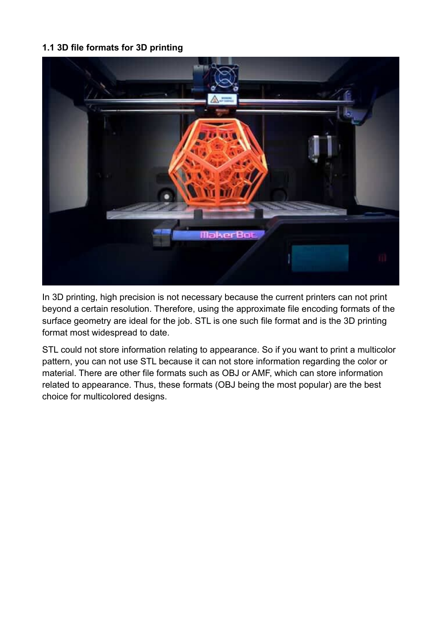#### **1.1 3D file formats for 3D printing**



In 3D printing, high precision is not necessary because the current printers can not print beyond a certain resolution. Therefore, using the approximate file encoding formats of the surface geometry are ideal for the job. STL is one such file format and is the 3D printing format most widespread to date.

STL could not store information relating to appearance. So if you want to print a multicolor pattern, you can not use STL because it can not store information regarding the color or material. There are other file formats such as OBJ or AMF, which can store information related to appearance. Thus, these formats (OBJ being the most popular) are the best choice for multicolored designs.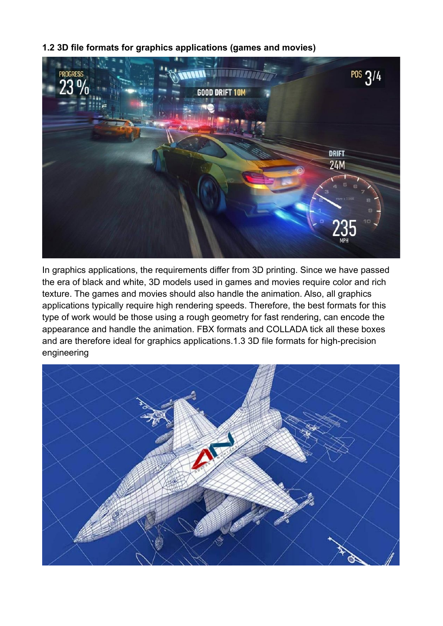



In graphics applications, the requirements differ from 3D printing. Since we have passed the era of black and white, 3D models used in games and movies require color and rich texture. The games and movies should also handle the animation. Also, all graphics applications typically require high rendering speeds. Therefore, the best formats for this type of work would be those using a rough geometry for fast rendering, can encode the appearance and handle the animation. FBX formats and COLLADA tick all these boxes and are therefore ideal for graphics applications.1.3 3D file formats for high-precision engineering

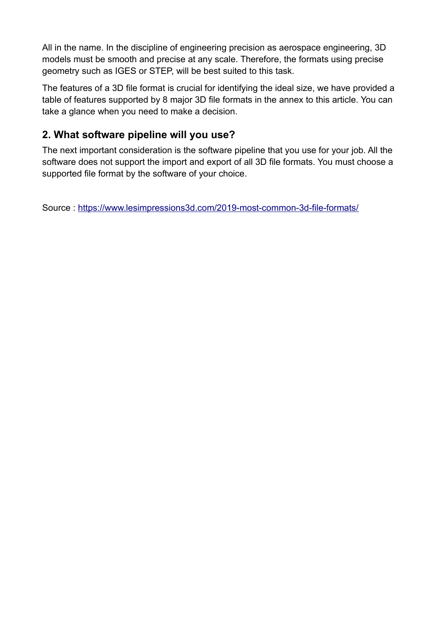All in the name. In the discipline of engineering precision as aerospace engineering, 3D models must be smooth and precise at any scale. Therefore, the formats using precise geometry such as IGES or STEP, will be best suited to this task.

The features of a 3D file format is crucial for identifying the ideal size, we have provided a table of features supported by 8 major 3D file formats in the annex to this article. You can take a glance when you need to make a decision.

## **2. What software pipeline will you use?**

The next important consideration is the software pipeline that you use for your job. All the software does not support the import and export of all 3D file formats. You must choose a supported file format by the software of your choice.

Source :<https://www.lesimpressions3d.com/2019-most-common-3d-file-formats/>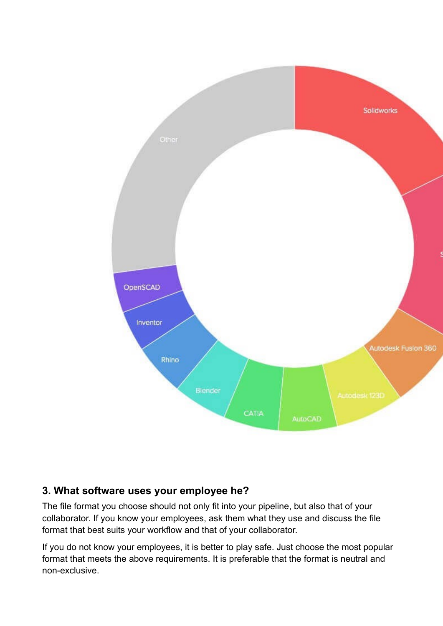

#### **3. What software uses your employee he?**

The file format you choose should not only fit into your pipeline, but also that of your collaborator. If you know your employees, ask them what they use and discuss the file format that best suits your workflow and that of your collaborator.

If you do not know your employees, it is better to play safe. Just choose the most popular format that meets the above requirements. It is preferable that the format is neutral and non-exclusive.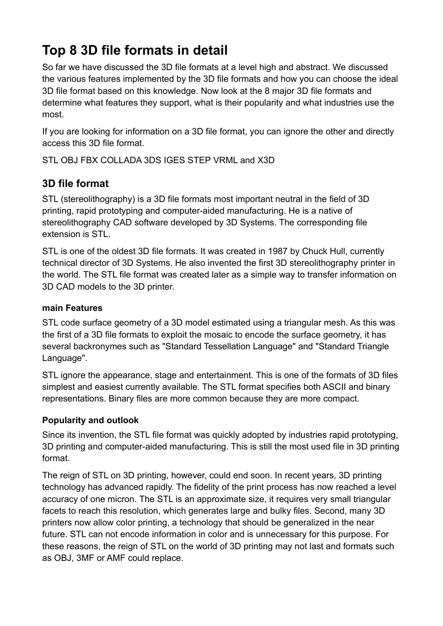# **Top 8 3D file formats in detail**

So far we have discussed the 3D file formats at a level high and abstract. We discussed the various features implemented by the 3D file formats and how you can choose the ideal 3D file format based on this knowledge. Now look at the 8 major 3D file formats and determine what features they support, what is their popularity and what industries use the most.

If you are looking for information on a 3D file format, you can ignore the other and directly access this 3D file format.

STL OBJ FBX COLLADA 3DS IGES STEP VRML and X3D

## **3D file format**

STL (stereolithography) is a 3D file formats most important neutral in the field of 3D printing, rapid prototyping and computer-aided manufacturing. He is a native of stereolithography CAD software developed by 3D Systems. The corresponding file extension is STL.

STL is one of the oldest 3D file formats. It was created in 1987 by Chuck Hull, currently technical director of 3D Systems. He also invented the first 3D stereolithography printer in the world. The STL file format was created later as a simple way to transfer information on 3D CAD models to the 3D printer.

#### **main Features**

STL code surface geometry of a 3D model estimated using a triangular mesh. As this was the first of a 3D file formats to exploit the mosaic to encode the surface geometry, it has several backronymes such as "Standard Tessellation Language" and "Standard Triangle Language".

STL ignore the appearance, stage and entertainment. This is one of the formats of 3D files simplest and easiest currently available. The STL format specifies both ASCII and binary representations. Binary files are more common because they are more compact.

#### **Popularity and outlook**

Since its invention, the STL file format was quickly adopted by industries rapid prototyping, 3D printing and computer-aided manufacturing. This is still the most used file in 3D printing format.

The reign of STL on 3D printing, however, could end soon. In recent years, 3D printing technology has advanced rapidly. The fidelity of the print process has now reached a level accuracy of one micron. The STL is an approximate size, it requires very small triangular facets to reach this resolution, which generates large and bulky files. Second, many 3D printers now allow color printing, a technology that should be generalized in the near future. STL can not encode information in color and is unnecessary for this purpose. For these reasons, the reign of STL on the world of 3D printing may not last and formats such as OBJ, 3MF or AMF could replace.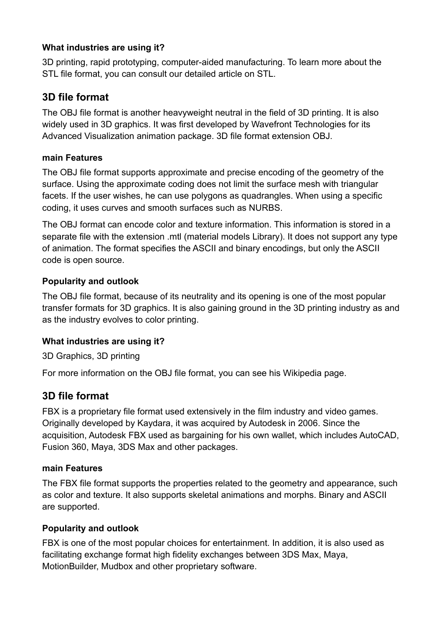#### **What industries are using it?**

3D printing, rapid prototyping, computer-aided manufacturing. To learn more about the STL file format, you can consult our detailed article on STL.

### **3D file format**

The OBJ file format is another heavyweight neutral in the field of 3D printing. It is also widely used in 3D graphics. It was first developed by Wavefront Technologies for its Advanced Visualization animation package. 3D file format extension OBJ.

#### **main Features**

The OBJ file format supports approximate and precise encoding of the geometry of the surface. Using the approximate coding does not limit the surface mesh with triangular facets. If the user wishes, he can use polygons as quadrangles. When using a specific coding, it uses curves and smooth surfaces such as NURBS.

The OBJ format can encode color and texture information. This information is stored in a separate file with the extension .mtl (material models Library). It does not support any type of animation. The format specifies the ASCII and binary encodings, but only the ASCII code is open source.

#### **Popularity and outlook**

The OBJ file format, because of its neutrality and its opening is one of the most popular transfer formats for 3D graphics. It is also gaining ground in the 3D printing industry as and as the industry evolves to color printing.

#### **What industries are using it?**

3D Graphics, 3D printing

For more information on the OBJ file format, you can see his Wikipedia page.

#### **3D file format**

FBX is a proprietary file format used extensively in the film industry and video games. Originally developed by Kaydara, it was acquired by Autodesk in 2006. Since the acquisition, Autodesk FBX used as bargaining for his own wallet, which includes AutoCAD, Fusion 360, Maya, 3DS Max and other packages.

#### **main Features**

The FBX file format supports the properties related to the geometry and appearance, such as color and texture. It also supports skeletal animations and morphs. Binary and ASCII are supported.

#### **Popularity and outlook**

FBX is one of the most popular choices for entertainment. In addition, it is also used as facilitating exchange format high fidelity exchanges between 3DS Max, Maya, MotionBuilder, Mudbox and other proprietary software.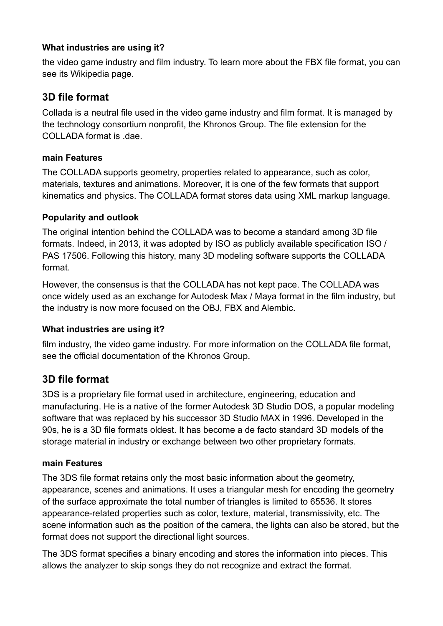#### **What industries are using it?**

the video game industry and film industry. To learn more about the FBX file format, you can see its Wikipedia page.

### **3D file format**

Collada is a neutral file used in the video game industry and film format. It is managed by the technology consortium nonprofit, the Khronos Group. The file extension for the COLLADA format is. dae.

#### **main Features**

The COLLADA supports geometry, properties related to appearance, such as color, materials, textures and animations. Moreover, it is one of the few formats that support kinematics and physics. The COLLADA format stores data using XML markup language.

#### **Popularity and outlook**

The original intention behind the COLLADA was to become a standard among 3D file formats. Indeed, in 2013, it was adopted by ISO as publicly available specification ISO / PAS 17506. Following this history, many 3D modeling software supports the COLLADA format.

However, the consensus is that the COLLADA has not kept pace. The COLLADA was once widely used as an exchange for Autodesk Max / Maya format in the film industry, but the industry is now more focused on the OBJ, FBX and Alembic.

#### **What industries are using it?**

film industry, the video game industry. For more information on the COLLADA file format, see the official documentation of the Khronos Group.

#### **3D file format**

3DS is a proprietary file format used in architecture, engineering, education and manufacturing. He is a native of the former Autodesk 3D Studio DOS, a popular modeling software that was replaced by his successor 3D Studio MAX in 1996. Developed in the 90s, he is a 3D file formats oldest. It has become a de facto standard 3D models of the storage material in industry or exchange between two other proprietary formats.

#### **main Features**

The 3DS file format retains only the most basic information about the geometry, appearance, scenes and animations. It uses a triangular mesh for encoding the geometry of the surface approximate the total number of triangles is limited to 65536. It stores appearance-related properties such as color, texture, material, transmissivity, etc. The scene information such as the position of the camera, the lights can also be stored, but the format does not support the directional light sources.

The 3DS format specifies a binary encoding and stores the information into pieces. This allows the analyzer to skip songs they do not recognize and extract the format.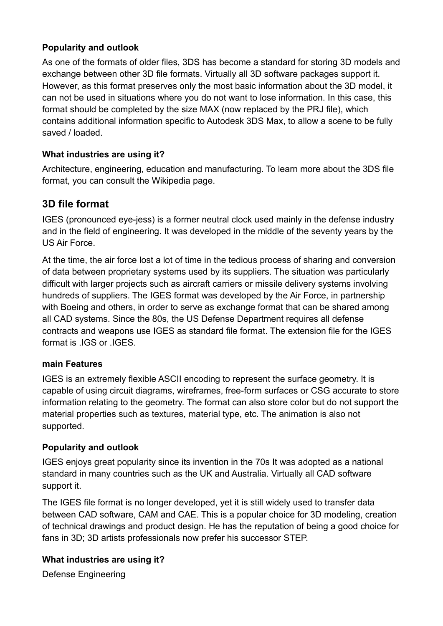#### **Popularity and outlook**

As one of the formats of older files, 3DS has become a standard for storing 3D models and exchange between other 3D file formats. Virtually all 3D software packages support it. However, as this format preserves only the most basic information about the 3D model, it can not be used in situations where you do not want to lose information. In this case, this format should be completed by the size MAX (now replaced by the PRJ file), which contains additional information specific to Autodesk 3DS Max, to allow a scene to be fully saved / loaded.

#### **What industries are using it?**

Architecture, engineering, education and manufacturing. To learn more about the 3DS file format, you can consult the Wikipedia page.

#### **3D file format**

IGES (pronounced eye-jess) is a former neutral clock used mainly in the defense industry and in the field of engineering. It was developed in the middle of the seventy years by the US Air Force.

At the time, the air force lost a lot of time in the tedious process of sharing and conversion of data between proprietary systems used by its suppliers. The situation was particularly difficult with larger projects such as aircraft carriers or missile delivery systems involving hundreds of suppliers. The IGES format was developed by the Air Force, in partnership with Boeing and others, in order to serve as exchange format that can be shared among all CAD systems. Since the 80s, the US Defense Department requires all defense contracts and weapons use IGES as standard file format. The extension file for the IGES format is .IGS or .IGES.

#### **main Features**

IGES is an extremely flexible ASCII encoding to represent the surface geometry. It is capable of using circuit diagrams, wireframes, free-form surfaces or CSG accurate to store information relating to the geometry. The format can also store color but do not support the material properties such as textures, material type, etc. The animation is also not supported.

#### **Popularity and outlook**

IGES enjoys great popularity since its invention in the 70s It was adopted as a national standard in many countries such as the UK and Australia. Virtually all CAD software support it.

The IGES file format is no longer developed, yet it is still widely used to transfer data between CAD software, CAM and CAE. This is a popular choice for 3D modeling, creation of technical drawings and product design. He has the reputation of being a good choice for fans in 3D; 3D artists professionals now prefer his successor STEP.

#### **What industries are using it?**

Defense Engineering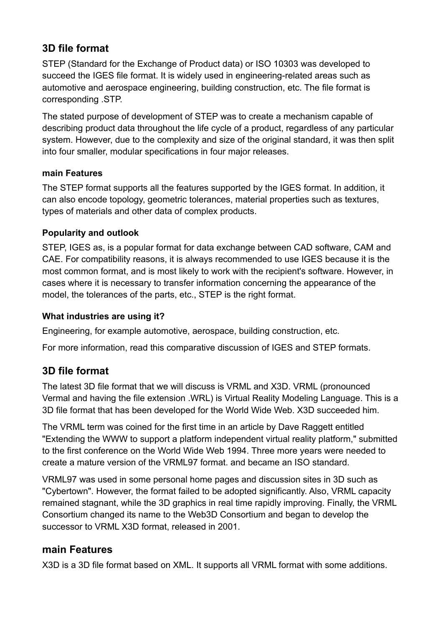## **3D file format**

STEP (Standard for the Exchange of Product data) or ISO 10303 was developed to succeed the IGES file format. It is widely used in engineering-related areas such as automotive and aerospace engineering, building construction, etc. The file format is corresponding .STP.

The stated purpose of development of STEP was to create a mechanism capable of describing product data throughout the life cycle of a product, regardless of any particular system. However, due to the complexity and size of the original standard, it was then split into four smaller, modular specifications in four major releases.

#### **main Features**

The STEP format supports all the features supported by the IGES format. In addition, it can also encode topology, geometric tolerances, material properties such as textures, types of materials and other data of complex products.

#### **Popularity and outlook**

STEP, IGES as, is a popular format for data exchange between CAD software, CAM and CAE. For compatibility reasons, it is always recommended to use IGES because it is the most common format, and is most likely to work with the recipient's software. However, in cases where it is necessary to transfer information concerning the appearance of the model, the tolerances of the parts, etc., STEP is the right format.

#### **What industries are using it?**

Engineering, for example automotive, aerospace, building construction, etc.

For more information, read this comparative discussion of IGES and STEP formats.

#### **3D file format**

The latest 3D file format that we will discuss is VRML and X3D. VRML (pronounced Vermal and having the file extension .WRL) is Virtual Reality Modeling Language. This is a 3D file format that has been developed for the World Wide Web. X3D succeeded him.

The VRML term was coined for the first time in an article by Dave Raggett entitled "Extending the WWW to support a platform independent virtual reality platform," submitted to the first conference on the World Wide Web 1994. Three more years were needed to create a mature version of the VRML97 format. and became an ISO standard.

VRML97 was used in some personal home pages and discussion sites in 3D such as "Cybertown". However, the format failed to be adopted significantly. Also, VRML capacity remained stagnant, while the 3D graphics in real time rapidly improving. Finally, the VRML Consortium changed its name to the Web3D Consortium and began to develop the successor to VRML X3D format, released in 2001.

#### **main Features**

X3D is a 3D file format based on XML. It supports all VRML format with some additions.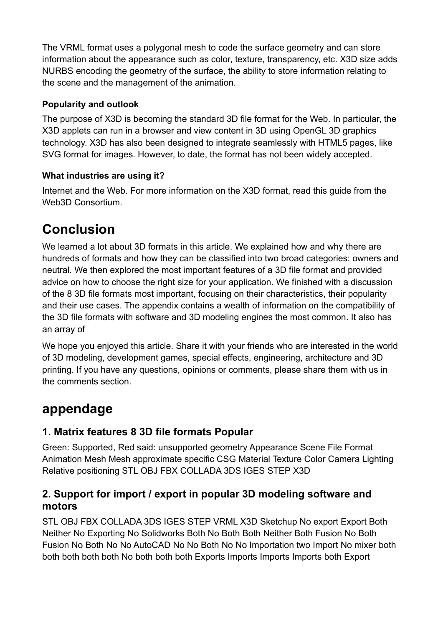The VRML format uses a polygonal mesh to code the surface geometry and can store information about the appearance such as color, texture, transparency, etc. X3D size adds NURBS encoding the geometry of the surface, the ability to store information relating to the scene and the management of the animation.

#### **Popularity and outlook**

The purpose of X3D is becoming the standard 3D file format for the Web. In particular, the X3D applets can run in a browser and view content in 3D using OpenGL 3D graphics technology. X3D has also been designed to integrate seamlessly with HTML5 pages, like SVG format for images. However, to date, the format has not been widely accepted.

#### **What industries are using it?**

Internet and the Web. For more information on the X3D format, read this guide from the Web3D Consortium.

# **Conclusion**

We learned a lot about 3D formats in this article. We explained how and why there are hundreds of formats and how they can be classified into two broad categories: owners and neutral. We then explored the most important features of a 3D file format and provided advice on how to choose the right size for your application. We finished with a discussion of the 8 3D file formats most important, focusing on their characteristics, their popularity and their use cases. The appendix contains a wealth of information on the compatibility of the 3D file formats with software and 3D modeling engines the most common. It also has an array of

We hope you enjoyed this article. Share it with your friends who are interested in the world of 3D modeling, development games, special effects, engineering, architecture and 3D printing. If you have any questions, opinions or comments, please share them with us in the comments section.

# **appendage**

# **1. Matrix features 8 3D file formats Popular**

Green: Supported, Red said: unsupported geometry Appearance Scene File Format Animation Mesh Mesh approximate specific CSG Material Texture Color Camera Lighting Relative positioning STL OBJ FBX COLLADA 3DS IGES STEP X3D

### **2. Support for import / export in popular 3D modeling software and motors**

STL OBJ FBX COLLADA 3DS IGES STEP VRML X3D Sketchup No export Export Both Neither No Exporting No Solidworks Both No Both Both Neither Both Fusion No Both Fusion No Both No No AutoCAD No No Both No No Importation two Import No mixer both both both both both No both both both Exports Imports Imports Imports both Export